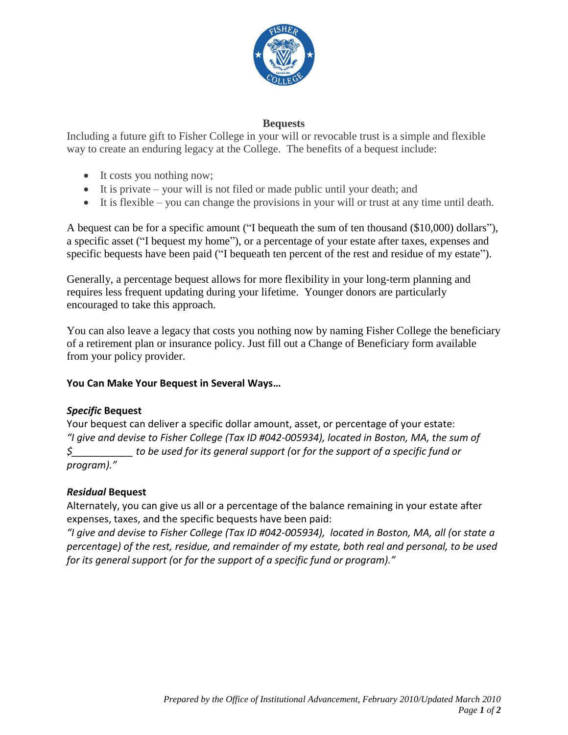

# **Bequests**

Including a future gift to Fisher College in your will or revocable trust is a simple and flexible way to create an enduring legacy at the College. The benefits of a bequest include:

- It costs you nothing now;
- $\bullet$  It is private your will is not filed or made public until your death; and
- $\bullet$  It is flexible you can change the provisions in your will or trust at any time until death.

A bequest can be for a specific amount ("I bequeath the sum of ten thousand (\$10,000) dollars"), a specific asset ("I bequest my home"), or a percentage of your estate after taxes, expenses and specific bequests have been paid ("I bequeath ten percent of the rest and residue of my estate").

Generally, a percentage bequest allows for more flexibility in your long-term planning and requires less frequent updating during your lifetime. Younger donors are particularly encouraged to take this approach.

You can also leave a legacy that costs you nothing now by naming Fisher College the beneficiary of a retirement plan or insurance policy. Just fill out a Change of Beneficiary form available from your policy provider.

# **You Can Make Your Bequest in Several Ways…**

### *Specific* **Bequest**

Your bequest can deliver a specific dollar amount, asset, or percentage of your estate: *"I give and devise to Fisher College (Tax ID #042-005934), located in Boston, MA, the sum of \$\_\_\_\_\_\_\_\_\_\_\_ to be used for its general support (*or *for the support of a specific fund or program)."* 

### *Residual* **Bequest**

Alternately, you can give us all or a percentage of the balance remaining in your estate after expenses, taxes, and the specific bequests have been paid:

*"I give and devise to Fisher College (Tax ID #042-005934), located in Boston, MA, all (*or *state a percentage) of the rest, residue, and remainder of my estate, both real and personal, to be used for its general support (*or *for the support of a specific fund or program)."*